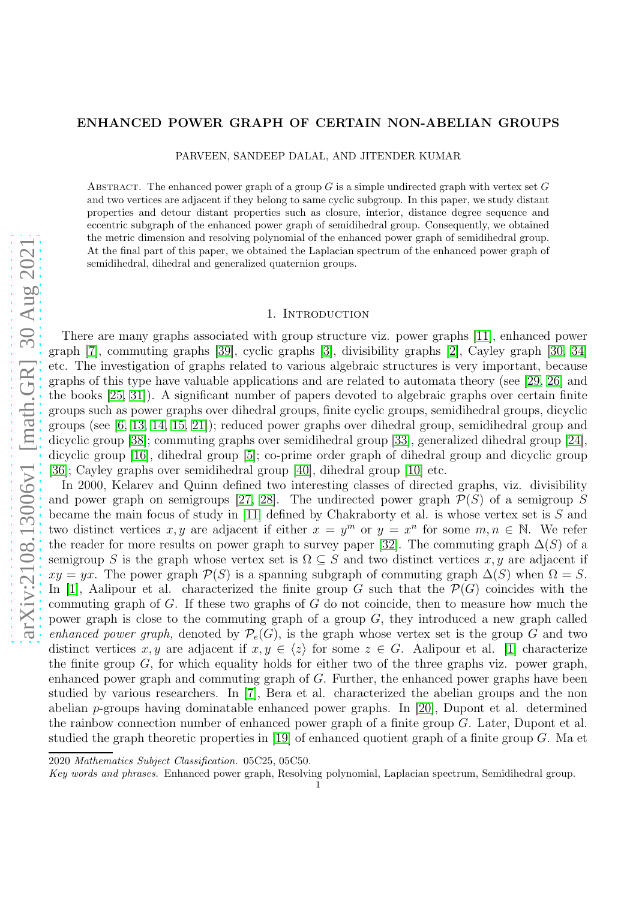# arXiv:2108.13006v1 [math.GR] 30 Aug 2021 [arXiv:2108.13006v1 \[math.GR\] 30 Aug 2021](http://arxiv.org/abs/2108.13006v1)

# ENHANCED POWER GRAPH OF CERTAIN NON-ABELIAN GROUPS

PARVEEN, SANDEEP DALAL, AND JITENDER KUMAR

ABSTRACT. The enhanced power graph of a group  $G$  is a simple undirected graph with vertex set  $G$ and two vertices are adjacent if they belong to same cyclic subgroup. In this paper, we study distant properties and detour distant properties such as closure, interior, distance degree sequence and eccentric subgraph of the enhanced power graph of semidihedral group. Consequently, we obtained the metric dimension and resolving polynomial of the enhanced power graph of semidihedral group. At the final part of this paper, we obtained the Laplacian spectrum of the enhanced power graph of semidihedral, dihedral and generalized quaternion groups.

## 1. INTRODUCTION

There are many graphs associated with group structure viz. power graphs [\[11\]](#page-13-0), enhanced power graph [\[7\]](#page-13-1), commuting graphs [\[39\]](#page-14-0), cyclic graphs [\[3\]](#page-13-2), divisibility graphs [\[2\]](#page-13-3), Cayley graph [\[30,](#page-14-1) [34\]](#page-14-2) etc. The investigation of graphs related to various algebraic structures is very important, because graphs of this type have valuable applications and are related to automata theory (see [\[29,](#page-14-3) [26\]](#page-13-4) and the books [\[25,](#page-13-5) [31\]](#page-14-4)). A significant number of papers devoted to algebraic graphs over certain finite groups such as power graphs over dihedral groups, finite cyclic groups, semidihedral groups, dicyclic groups (see [\[6,](#page-13-6) [13,](#page-13-7) [14,](#page-13-8) [15,](#page-13-9) [21\]](#page-13-10)); reduced power graphs over dihedral group, semidihedral group and dicyclic group [\[38\]](#page-14-5); commuting graphs over semidihedral group [\[33\]](#page-14-6), generalized dihedral group [\[24\]](#page-13-11), dicyclic group [\[16\]](#page-13-12), dihedral group [\[5\]](#page-13-13); co-prime order graph of dihedral group and dicyclic group [\[36\]](#page-14-7); Cayley graphs over semidihedral group [\[40\]](#page-14-8), dihedral group [\[10\]](#page-13-14) etc.

In 2000, Kelarev and Quinn defined two interesting classes of directed graphs, viz. divisibility and power graph on semigroups [\[27,](#page-13-15) [28\]](#page-13-16). The undirected power graph  $\mathcal{P}(S)$  of a semigroup S became the main focus of study in [\[11\]](#page-13-0) defined by Chakraborty et al. is whose vertex set is  $S$  and two distinct vertices x, y are adjacent if either  $x = y^m$  or  $y = x^n$  for some  $m, n \in \mathbb{N}$ . We refer the reader for more results on power graph to survey paper [\[32\]](#page-14-9). The commuting graph  $\Delta(S)$  of a semigroup S is the graph whose vertex set is  $\Omega \subseteq S$  and two distinct vertices x, y are adjacent if  $xy = yx$ . The power graph  $\mathcal{P}(S)$  is a spanning subgraph of commuting graph  $\Delta(S)$  when  $\Omega = S$ . In [\[1\]](#page-13-17), Aalipour et al. characterized the finite group G such that the  $\mathcal{P}(G)$  coincides with the commuting graph of G. If these two graphs of G do not coincide, then to measure how much the power graph is close to the commuting graph of a group  $G$ , they introduced a new graph called enhanced power graph, denoted by  $\mathcal{P}_e(G)$ , is the graph whose vertex set is the group G and two distinct vertices x, y are adjacent if  $x, y \in \langle z \rangle$  for some  $z \in G$ . Aalipour et al. [\[1\]](#page-13-17) characterize the finite group  $G$ , for which equality holds for either two of the three graphs viz. power graph, enhanced power graph and commuting graph of G. Further, the enhanced power graphs have been studied by various researchers. In [\[7\]](#page-13-1), Bera et al. characterized the abelian groups and the non abelian p-groups having dominatable enhanced power graphs. In [\[20\]](#page-13-18), Dupont et al. determined the rainbow connection number of enhanced power graph of a finite group  $G$ . Later, Dupont et al. studied the graph theoretic properties in [\[19\]](#page-13-19) of enhanced quotient graph of a finite group  $G$ . Ma et

<sup>2020</sup> *Mathematics Subject Classification.* 05C25, 05C50.

*Key words and phrases.* Enhanced power graph, Resolving polynomial, Laplacian spectrum, Semidihedral group. 1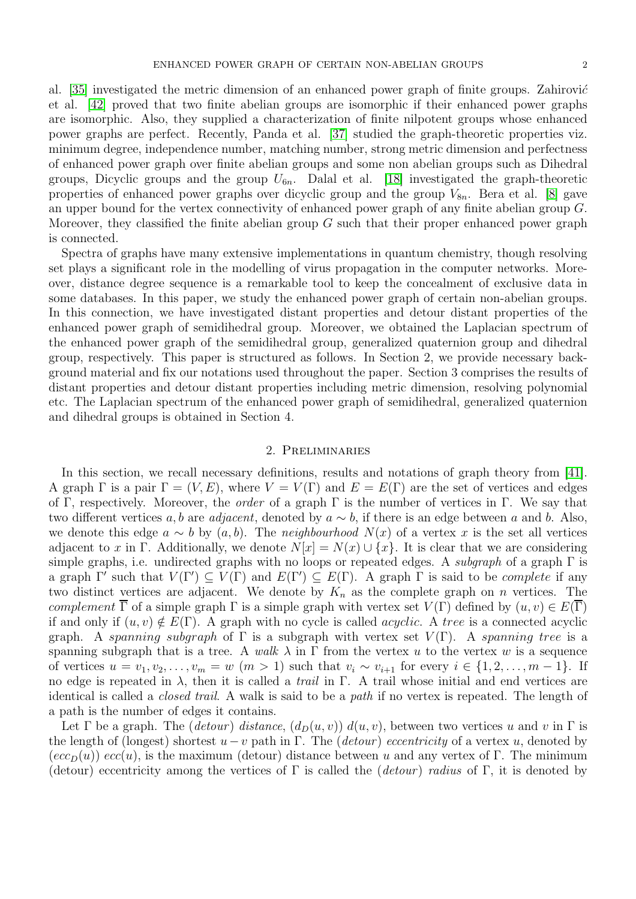al.  $[35]$  investigated the metric dimension of an enhanced power graph of finite groups. Zahirović et al. [\[42\]](#page-14-11) proved that two finite abelian groups are isomorphic if their enhanced power graphs are isomorphic. Also, they supplied a characterization of finite nilpotent groups whose enhanced power graphs are perfect. Recently, Panda et al. [\[37\]](#page-14-12) studied the graph-theoretic properties viz. minimum degree, independence number, matching number, strong metric dimension and perfectness of enhanced power graph over finite abelian groups and some non abelian groups such as Dihedral groups, Dicyclic groups and the group  $U_{6n}$ . Dalal et al. [\[18\]](#page-13-20) investigated the graph-theoretic properties of enhanced power graphs over dicyclic group and the group  $V_{8n}$ . Bera et al. [\[8\]](#page-13-21) gave an upper bound for the vertex connectivity of enhanced power graph of any finite abelian group G. Moreover, they classified the finite abelian group  $G$  such that their proper enhanced power graph is connected.

Spectra of graphs have many extensive implementations in quantum chemistry, though resolving set plays a significant role in the modelling of virus propagation in the computer networks. Moreover, distance degree sequence is a remarkable tool to keep the concealment of exclusive data in some databases. In this paper, we study the enhanced power graph of certain non-abelian groups. In this connection, we have investigated distant properties and detour distant properties of the enhanced power graph of semidihedral group. Moreover, we obtained the Laplacian spectrum of the enhanced power graph of the semidihedral group, generalized quaternion group and dihedral group, respectively. This paper is structured as follows. In Section 2, we provide necessary background material and fix our notations used throughout the paper. Section 3 comprises the results of distant properties and detour distant properties including metric dimension, resolving polynomial etc. The Laplacian spectrum of the enhanced power graph of semidihedral, generalized quaternion and dihedral groups is obtained in Section 4.

# 2. Preliminaries

In this section, we recall necessary definitions, results and notations of graph theory from [\[41\]](#page-14-13). A graph  $\Gamma$  is a pair  $\Gamma = (V, E)$ , where  $V = V(\Gamma)$  and  $E = E(\Gamma)$  are the set of vertices and edges of Γ, respectively. Moreover, the *order* of a graph Γ is the number of vertices in Γ. We say that two different vertices a, b are adjacent, denoted by  $a \sim b$ , if there is an edge between a and b. Also, we denote this edge  $a \sim b$  by  $(a, b)$ . The neighbourhood  $N(x)$  of a vertex x is the set all vertices adjacent to x in Γ. Additionally, we denote  $N[x] = N(x) \cup \{x\}$ . It is clear that we are considering simple graphs, i.e. undirected graphs with no loops or repeated edges. A *subgraph* of a graph  $\Gamma$  is a graph  $\Gamma'$  such that  $V(\Gamma') \subseteq V(\Gamma)$  and  $E(\Gamma') \subseteq E(\Gamma)$ . A graph  $\Gamma$  is said to be *complete* if any two distinct vertices are adjacent. We denote by  $K_n$  as the complete graph on n vertices. The complement  $\overline{\Gamma}$  of a simple graph  $\Gamma$  is a simple graph with vertex set  $V(\Gamma)$  defined by  $(u, v) \in E(\Gamma)$ if and only if  $(u, v) \notin E(\Gamma)$ . A graph with no cycle is called *acyclic*. A tree is a connected acyclic graph. A spanning subgraph of  $\Gamma$  is a subgraph with vertex set  $V(\Gamma)$ . A spanning tree is a spanning subgraph that is a tree. A walk  $\lambda$  in  $\Gamma$  from the vertex u to the vertex w is a sequence of vertices  $u = v_1, v_2, \ldots, v_m = w$   $(m > 1)$  such that  $v_i \sim v_{i+1}$  for every  $i \in \{1, 2, \ldots, m-1\}$ . If no edge is repeated in  $\lambda$ , then it is called a *trail* in Γ. A trail whose initial and end vertices are identical is called a closed trail. A walk is said to be a path if no vertex is repeated. The length of a path is the number of edges it contains.

Let  $\Gamma$  be a graph. The (detour) distance,  $(d_D(u, v))$   $d(u, v)$ , between two vertices u and v in  $\Gamma$  is the length of (longest) shortest  $u - v$  path in Γ. The (*detour*) eccentricity of a vertex u, denoted by  $(ecc<sub>D</sub>(u))$  ecc(u), is the maximum (detour) distance between u and any vertex of Γ. The minimum (detour) eccentricity among the vertices of  $\Gamma$  is called the (detour) radius of  $\Gamma$ , it is denoted by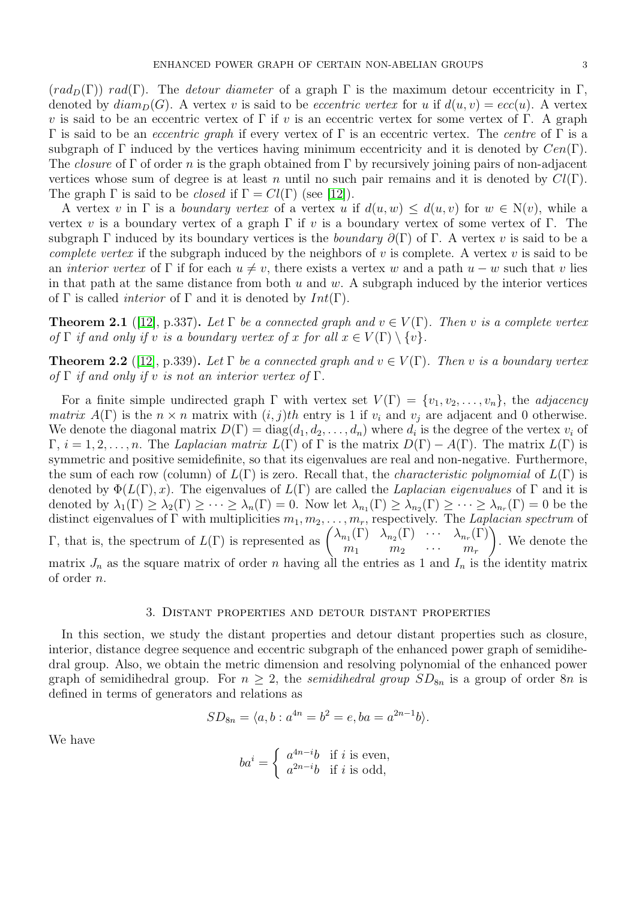$(rad_D(\Gamma))$  rad(Γ). The detour diameter of a graph  $\Gamma$  is the maximum detour eccentricity in  $\Gamma$ , denoted by  $diam_D(G)$ . A vertex v is said to be *eccentric vertex* for u if  $d(u, v) = ecc(u)$ . A vertex v is said to be an eccentric vertex of  $\Gamma$  if v is an eccentric vertex for some vertex of  $\Gamma$ . A graph Γ is said to be an *eccentric graph* if every vertex of Γ is an eccentric vertex. The *centre* of Γ is a subgraph of Γ induced by the vertices having minimum eccentricity and it is denoted by  $Cen(\Gamma)$ . The *closure* of Γ of order n is the graph obtained from Γ by recursively joining pairs of non-adjacent vertices whose sum of degree is at least n until no such pair remains and it is denoted by  $Cl(\Gamma)$ . The graph  $\Gamma$  is said to be *closed* if  $\Gamma = Cl(\Gamma)$  (see [\[12\]](#page-13-22)).

A vertex v in  $\Gamma$  is a *boundary vertex* of a vertex u if  $d(u, w) \leq d(u, v)$  for  $w \in N(v)$ , while a vertex v is a boundary vertex of a graph  $\Gamma$  if v is a boundary vertex of some vertex of  $\Gamma$ . The subgraph Γ induced by its boundary vertices is the *boundary*  $\partial(\Gamma)$  of Γ. A vertex v is said to be a complete vertex if the subgraph induced by the neighbors of v is complete. A vertex v is said to be an *interior vertex* of Γ if for each  $u \neq v$ , there exists a vertex w and a path  $u - w$  such that v lies in that path at the same distance from both  $u$  and  $w$ . A subgraph induced by the interior vertices of  $\Gamma$  is called *interior* of  $\Gamma$  and it is denoted by  $Int(\Gamma)$ .

<span id="page-2-0"></span>**Theorem 2.1** ([\[12\]](#page-13-22), p.337). Let  $\Gamma$  be a connected graph and  $v \in V(\Gamma)$ . Then v is a complete vertex of  $\Gamma$  if and only if v is a boundary vertex of x for all  $x \in V(\Gamma) \setminus \{v\}$ .

<span id="page-2-1"></span>**Theorem 2.2** ([\[12\]](#page-13-22), p.339). Let  $\Gamma$  be a connected graph and  $v \in V(\Gamma)$ . Then v is a boundary vertex of  $\Gamma$  if and only if v is not an interior vertex of  $\Gamma$ .

For a finite simple undirected graph  $\Gamma$  with vertex set  $V(\Gamma) = \{v_1, v_2, \ldots, v_n\}$ , the *adjacency matrix*  $A(\Gamma)$  is the  $n \times n$  matrix with  $(i, j)$ th entry is 1 if  $v_i$  and  $v_j$  are adjacent and 0 otherwise. We denote the diagonal matrix  $D(\Gamma) = \text{diag}(d_1, d_2, \dots, d_n)$  where  $d_i$  is the degree of the vertex  $v_i$  of  $\Gamma$ ,  $i = 1, 2, \ldots, n$ . The Laplacian matrix  $L(\Gamma)$  of  $\Gamma$  is the matrix  $D(\Gamma) - A(\Gamma)$ . The matrix  $L(\Gamma)$  is symmetric and positive semidefinite, so that its eigenvalues are real and non-negative. Furthermore, the sum of each row (column) of  $L(\Gamma)$  is zero. Recall that, the *characteristic polynomial* of  $L(\Gamma)$  is denoted by  $\Phi(L(\Gamma),x)$ . The eigenvalues of  $L(\Gamma)$  are called the *Laplacian eigenvalues* of  $\Gamma$  and it is denoted by  $\lambda_1(\Gamma) \geq \lambda_2(\Gamma) \geq \cdots \geq \lambda_n(\Gamma) = 0$ . Now let  $\lambda_{n_1}(\Gamma) \geq \lambda_{n_2}(\Gamma) \geq \cdots \geq \lambda_{n_r}(\Gamma) = 0$  be the distinct eigenvalues of  $\Gamma$  with multiplicities  $m_1, m_2, \ldots, m_r$ , respectively. The Laplacian spectrum of Γ, that is, the spectrum of  $L(Γ)$  is represented as  $\begin{pmatrix} \lambda_{n_1}(Γ) & \lambda_{n_2}(Γ) & \cdots & \lambda_{n_r}(Γ) \\ m & m & m \end{pmatrix}$  $m_1$   $m_2$   $\cdots$   $m_r$  $\setminus$ . We denote the matrix  $J_n$  as the square matrix of order n having all the entries as 1 and  $I_n$  is the identity matrix of order n.

# 3. Distant properties and detour distant properties

In this section, we study the distant properties and detour distant properties such as closure, interior, distance degree sequence and eccentric subgraph of the enhanced power graph of semidihedral group. Also, we obtain the metric dimension and resolving polynomial of the enhanced power graph of semidihedral group. For  $n \geq 2$ , the semidihedral group  $SD_{8n}$  is a group of order 8n is defined in terms of generators and relations as

$$
SD_{8n} = \langle a, b : a^{4n} = b^2 = e, ba = a^{2n-1}b \rangle.
$$

We have

$$
ba^{i} = \begin{cases} a^{4n-i}b & \text{if } i \text{ is even,} \\ a^{2n-i}b & \text{if } i \text{ is odd,} \end{cases}
$$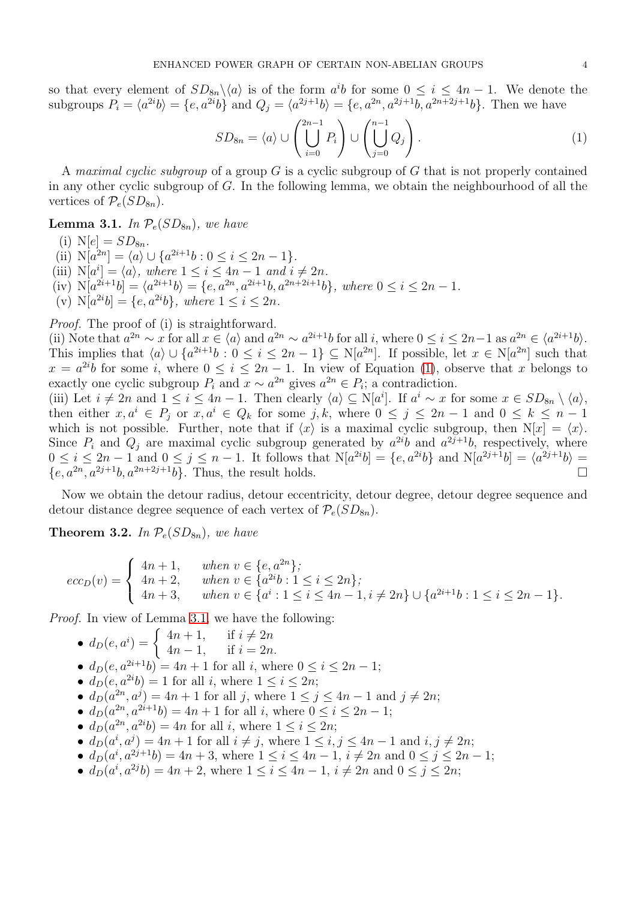so that every element of  $SD_{8n}\backslash \langle a \rangle$  is of the form  $a^i b$  for some  $0 \leq i \leq 4n-1$ . We denote the subgroups  $P_i = \langle a^{2i}b \rangle = \{e, a^{2i}b\}$  and  $Q_j = \langle a^{2j+1}b \rangle = \{e, a^{2n}, a^{2j+1}b, a^{2n+2j+1}b\}$ . Then we have

<span id="page-3-0"></span>
$$
SD_{8n} = \langle a \rangle \cup \left( \bigcup_{i=0}^{2n-1} P_i \right) \cup \left( \bigcup_{j=0}^{n-1} Q_j \right). \tag{1}
$$

A maximal cyclic subgroup of a group  $G$  is a cyclic subgroup of  $G$  that is not properly contained in any other cyclic subgroup of  $G$ . In the following lemma, we obtain the neighbourhood of all the vertices of  $\mathcal{P}_e(SD_{8n})$ .

<span id="page-3-1"></span>**Lemma 3.1.** In  $\mathcal{P}_e(SD_{8n})$ , we have

(i)  $N[e] = SD_{8n}$ .

- (ii)  $N[a^{2n}] = \langle a \rangle \cup \{a^{2i+1}b : 0 \le i \le 2n 1\}.$
- (iii)  $N[a^i] = \langle a \rangle$ , where  $1 \leq i \leq 4n 1$  and  $i \neq 2n$ .
- (iv)  $N[a^{2i+1}b] = \langle a^{2i+1}b \rangle = \{e, a^{2n}, a^{2i+1}b, a^{2n+2i+1}b\}, where 0 \le i \le 2n 1.$
- (v)  $N[a^{2i}b] = \{e, a^{2i}b\}$ , where  $1 \le i \le 2n$ .

Proof. The proof of (i) is straightforward.

(ii) Note that  $a^{2n} \sim x$  for all  $x \in \langle a \rangle$  and  $a^{2n} \sim a^{2i+1}b$  for all i, where  $0 \le i \le 2n-1$  as  $a^{2n} \in \langle a^{2i+1}b \rangle$ . This implies that  $\langle a \rangle \cup \{a^{2i+1}b : 0 \le i \le 2n-1\} \subseteq N[a^{2n}]$ . If possible, let  $x \in N[a^{2n}]$  such that  $x = a^{2i}b$  for some i, where  $0 \le i \le 2n - 1$ . In view of Equation [\(1\)](#page-3-0), observe that x belongs to exactly one cyclic subgroup  $P_i$  and  $x \sim a^{2n}$  gives  $a^{2n} \in P_i$ ; a contradiction.

(iii) Let  $i \neq 2n$  and  $1 \leq i \leq 4n-1$ . Then clearly  $\langle a \rangle \subseteq N[a^i]$ . If  $a^i \sim x$  for some  $x \in SD_{8n} \setminus \langle a \rangle$ , then either  $x, a^i \in P_j$  or  $x, a^i \in Q_k$  for some j, k, where  $0 \leq j \leq 2n-1$  and  $0 \leq k \leq n-1$ which is not possible. Further, note that if  $\langle x \rangle$  is a maximal cyclic subgroup, then  $N[x] = \langle x \rangle$ . Since  $P_i$  and  $Q_j$  are maximal cyclic subgroup generated by  $a^{2i}b$  and  $a^{2j+1}b$ , respectively, where  $0 \le i \le 2n-1$  and  $0 \le j \le n-1$ . It follows that  $N[a^{2i}b] = \{e, a^{2i}b\}$  and  $N[a^{2j+1}b] = \langle a^{2j+1}b \rangle =$  $\{e, a^{2n}, a^{2j+1}b, a^{2n+2j+1}b\}$ . Thus, the result holds.

Now we obtain the detour radius, detour eccentricity, detour degree, detour degree sequence and detour distance degree sequence of each vertex of  $\mathcal{P}_e(SD_{8n})$ .

<span id="page-3-2"></span>**Theorem 3.2.** In  $\mathcal{P}_e(SD_{8n})$ , we have

$$
ecc_D(v) = \begin{cases} 4n+1, & when \ v \in \{e, a^{2n}\}; \\ 4n+2, & when \ v \in \{a^{2i}b : 1 \le i \le 2n\}; \\ 4n+3, & when \ v \in \{a^i : 1 \le i \le 4n-1, i \ne 2n\} \cup \{a^{2i+1}b : 1 \le i \le 2n-1\}. \end{cases}
$$

Proof. In view of Lemma [3.1,](#page-3-1) we have the following:

- $d_D(e, a^i) = \begin{cases} 4n + 1, & \text{if } i \neq 2n \\ 4n 1, & \text{if } i = 2n \end{cases}$  $4n - 1$ , if  $i = 2n$ .
- $d_D(e, a^{2i+1}b) = 4n + 1$  for all i, where  $0 \le i \le 2n 1$ ;
- $d_D(e, a^{2i}b) = 1$  for all *i*, where  $1 \le i \le 2n$ ;
- $d_D(a^{2n}, a^j) = 4n + 1$  for all j, where  $1 \le j \le 4n 1$  and  $j \ne 2n$ ;
- $d_D(a^{2n}, a^{2i+1}b) = 4n + 1$  for all *i*, where  $0 \le i \le 2n 1$ ;
- $d_D(a^{2n}, a^{2i}b) = 4n$  for all *i*, where  $1 \leq i \leq 2n$ ;
- $d_D(a^i, a^j) = 4n + 1$  for all  $i \neq j$ , where  $1 \leq i, j \leq 4n 1$  and  $i, j \neq 2n$ ;
- $d_D(a^i, a^{2j+1}b) = 4n + 3$ , where  $1 \le i \le 4n 1$ ,  $i \ne 2n$  and  $0 \le j \le 2n 1$ ;
- $d_D(a^i, a^{2j}b) = 4n + 2$ , where  $1 \le i \le 4n 1$ ,  $i \ne 2n$  and  $0 \le j \le 2n$ ;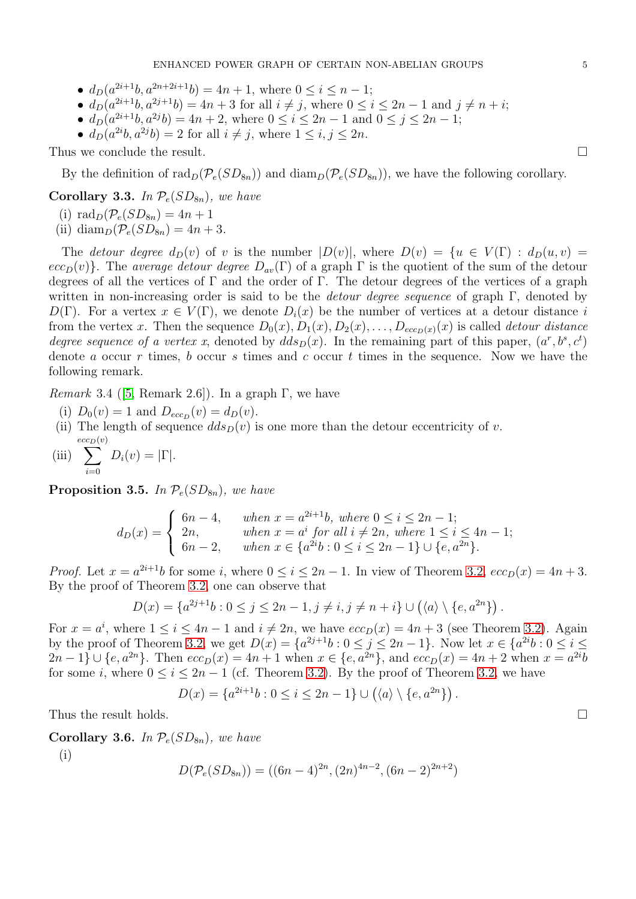- $d_D(a^{2i+1}b, a^{2n+2i+1}b) = 4n + 1$ , where  $0 \le i \le n 1$ ;
- $d_D(a^{2i+1}b, a^{2j+1}b) = 4n + 3$  for all  $i \neq j$ , where  $0 \leq i \leq 2n 1$  and  $j \neq n + i$ ;
- $d_D(a^{2i+1}b, a^{2j}b) = 4n + 2$ , where  $0 \le i \le 2n 1$  and  $0 \le j \le 2n 1$ ;
- $d_D(a^{2i}b, a^{2j}b) = 2$  for all  $i \neq j$ , where  $1 \leq i, j \leq 2n$ .

Thus we conclude the result.

By the definition of  $\text{rad}_D(\mathcal{P}_e(SD_{8n}))$  and  $\text{diam}_D(\mathcal{P}_e(SD_{8n}))$ , we have the following corollary.

Corollary 3.3. In  $P_e(SD_{8n})$ , we have

(i)  $\text{rad}_D(\mathcal{P}_e(SD_{8n}) = 4n + 1)$ 

(ii) diam<sub>p</sub> $(\mathcal{P}_e(SD_{8n}) = 4n + 3$ .

The detour degree  $d_D(v)$  of v is the number  $|D(v)|$ , where  $D(v) = \{u \in V(\Gamma) : d_D(u, v) =$  $ecc_D(v)$ . The average detour degree  $D_{av}(\Gamma)$  of a graph  $\Gamma$  is the quotient of the sum of the detour degrees of all the vertices of  $\Gamma$  and the order of  $\Gamma$ . The detour degrees of the vertices of a graph written in non-increasing order is said to be the *detour degree sequence* of graph  $\Gamma$ , denoted by  $D(\Gamma)$ . For a vertex  $x \in V(\Gamma)$ , we denote  $D_i(x)$  be the number of vertices at a detour distance i from the vertex x. Then the sequence  $D_0(x)$ ,  $D_1(x)$ ,  $D_2(x)$ , ...,  $D_{ecc_D(x)}(x)$  is called *detour distance* degree sequence of a vertex x, denoted by  $dds_D(x)$ . In the remaining part of this paper,  $(a^r, b^s, c^t)$ denote a occur r times, b occur s times and c occur t times in the sequence. Now we have the following remark.

Remark3.4 ([\[5,](#page-13-13) Remark 2.6]). In a graph  $\Gamma$ , we have

- (i)  $D_0(v) = 1$  and  $D_{ecc_D}(v) = d_D(v)$ .
- (ii) The length of sequence  $dds_D(v)$  is one more than the detour eccentricity of v.  $\sum^{ecc_D(v)}$
- (iii)  $i=0$  $D_i(v) = |\Gamma|.$

**Proposition 3.5.** In  $\mathcal{P}_e(SD_{8n})$ , we have

$$
d_D(x) = \begin{cases} \n6n - 4, & when \ x = a^{2i+1}b, \ where \ 0 \le i \le 2n - 1; \\ \n2n, & when \ x = a^i \ for \ all \ i \ne 2n, \ where \ 1 \le i \le 4n - 1; \\ \n6n - 2, & when \ x \in \{a^{2i}b : 0 \le i \le 2n - 1\} \cup \{e, a^{2n}\}. \n\end{cases}
$$

*Proof.* Let  $x = a^{2i+1}b$  for some i, where  $0 \le i \le 2n - 1$ . In view of Theorem [3.2,](#page-3-2)  $ecc_D(x) = 4n + 3$ . By the proof of Theorem [3.2,](#page-3-2) one can observe that

$$
D(x) = \{a^{2j+1}b : 0 \le j \le 2n-1, j \ne i, j \ne n+i\} \cup (\langle a \rangle \setminus \{e, a^{2n}\}) .
$$

For  $x = a^i$ , where  $1 \le i \le 4n - 1$  and  $i \ne 2n$ , we have  $ecc_D(x) = 4n + 3$  (see Theorem [3.2\)](#page-3-2). Again by the proof of Theorem [3.2,](#page-3-2) we get  $D(x) = \{a^{2j+1}b : 0 \le j \le 2n-1\}$ . Now let  $x \in \{a^{2i}b : 0 \le i \le n-1\}$  $2n-1\} \cup \{e, a^{2n}\}.$  Then  $ecc_D(x) = 4n+1$  when  $x \in \{e, a^{2n}\},$  and  $ecc_D(x) = 4n+2$  when  $x = a^{2i}b$ for some i, where  $0 \le i \le 2n-1$  (cf. Theorem [3.2\)](#page-3-2). By the proof of Theorem [3.2,](#page-3-2) we have

 $D(x) = \{a^{2i+1}b : 0 \le i \le 2n-1\} \cup (\langle a \rangle \setminus \{e, a^{2n}\})$ .

Thus the result holds.

Corollary 3.6. In  $P_e(SD_{8n})$ , we have

(i)

$$
D(\mathcal{P}_e(SD_{8n})) = ((6n - 4)^{2n}, (2n)^{4n-2}, (6n - 2)^{2n+2})
$$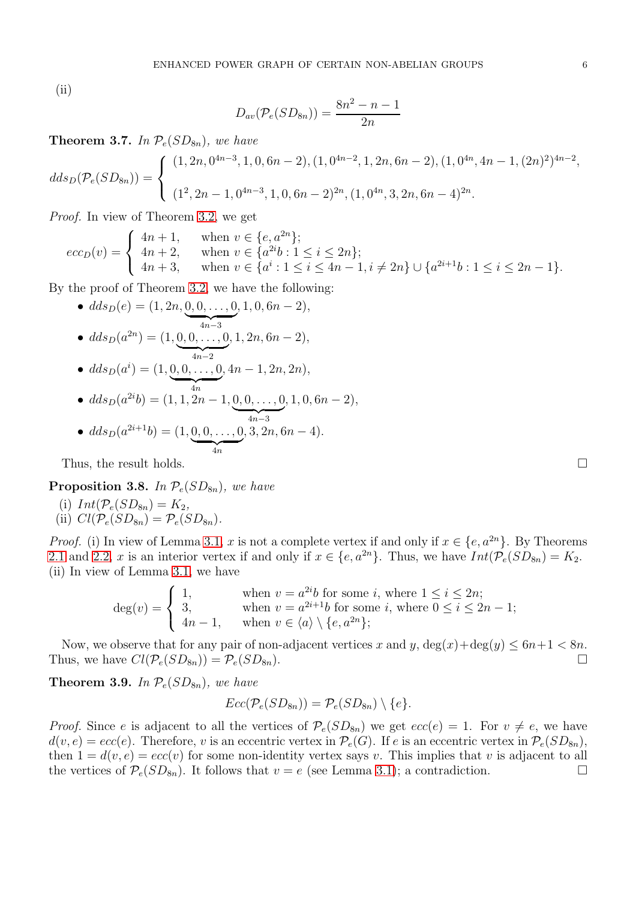(ii)

$$
D_{av}(\mathcal{P}_e(SD_{8n})) = \frac{8n^2 - n - 1}{2n}
$$

**Theorem 3.7.** In  $\mathcal{P}_e(SD_{8n})$ , we have

$$
dds_D(\mathcal{P}_e(SD_{8n})) = \begin{cases} (1, 2n, 0^{4n-3}, 1, 0, 6n-2), (1, 0^{4n-2}, 1, 2n, 6n-2), (1, 0^{4n}, 4n-1, (2n)^2)^{4n-2}, \\ (1^2, 2n-1, 0^{4n-3}, 1, 0, 6n-2)^{2n}, (1, 0^{4n}, 3, 2n, 6n-4)^{2n}. \end{cases}
$$

Proof. In view of Theorem [3.2,](#page-3-2) we get

$$
ecc_D(v) = \begin{cases} 4n+1, & \text{when } v \in \{e, a^{2n}\};\\ 4n+2, & \text{when } v \in \{a^{2i}b : 1 \le i \le 2n\};\\ 4n+3, & \text{when } v \in \{a^i : 1 \le i \le 4n-1, i \ne 2n\} \cup \{a^{2i+1}b : 1 \le i \le 2n-1\}. \end{cases}
$$

By the proof of Theorem [3.2,](#page-3-2) we have the following:

• 
$$
dds_D(e) = (1, 2n, \underbrace{0, 0, \ldots, 0}_{4n-3}, 1, 0, 6n-2),
$$
  
•  $dds_D(a^{2n}) = (1, \underbrace{0, 0, \ldots, 0}_{4n-2}, 1, 2n, 6n-2),$ 

• 
$$
dds_D(a^i) = (1, \underbrace{0, 0, \ldots, 0}_{4n}, 4n - 1, 2n, 2n),
$$

• 
$$
dds_D(a^{2i}b) = (1, 1, 2n - 1, \underbrace{0, 0, \ldots, 0}_{4n-3}, 1, 0, 6n - 2),
$$

• 
$$
dds_D(a^{2i+1}b) = (1, \underbrace{0, 0, \ldots, 0}_{4n}, 3, 2n, 6n - 4).
$$

Thus, the result holds.

**Proposition 3.8.** In  $\mathcal{P}_e(SD_{8n})$ , we have

(i)  $Int(\mathcal{P}_e(SD_{8n})=K_2,$ (ii)  $Cl(\mathcal{P}_e(SD_{8n}) = \mathcal{P}_e(SD_{8n}).$ 

*Proof.* (i) In view of Lemma [3.1,](#page-3-1) x is not a complete vertex if and only if  $x \in \{e, a^{2n}\}\$ . By Theorems [2.1](#page-2-0) and [2.2,](#page-2-1) x is an interior vertex if and only if  $x \in \{e, a^{2n}\}\$ . Thus, we have  $Int(\mathcal{P}_e(SD_{8n}) = K_2$ . (ii) In view of Lemma [3.1,](#page-3-1) we have

$$
\deg(v) = \begin{cases} 1, & \text{when } v = a^{2i}b \text{ for some } i, \text{ where } 1 \le i \le 2n; \\ 3, & \text{when } v = a^{2i+1}b \text{ for some } i, \text{ where } 0 \le i \le 2n - 1; \\ 4n - 1, & \text{when } v \in \langle a \rangle \setminus \{e, a^{2n}\}; \end{cases}
$$

Now, we observe that for any pair of non-adjacent vertices x and y,  $\deg(x) + \deg(y) \leq 6n+1 < 8n$ . Thus, we have  $Cl(\mathcal{P}_e(SD_{8n})) = \mathcal{P}_e(SD_{8n}).$ 

**Theorem 3.9.** In  $\mathcal{P}_e(SD_{8n})$ , we have

$$
Ecc(\mathcal{P}_e(SD_{8n})) = \mathcal{P}_e(SD_{8n}) \setminus \{e\}.
$$

*Proof.* Since e is adjacent to all the vertices of  $\mathcal{P}_e(SD_{8n})$  we get  $ecc(e) = 1$ . For  $v \neq e$ , we have  $d(v, e) = ecc(e)$ . Therefore, v is an eccentric vertex in  $\mathcal{P}_e(G)$ . If e is an eccentric vertex in  $\mathcal{P}_e(SD_{8n})$ , then  $1 = d(v, e) = ecc(v)$  for some non-identity vertex says v. This implies that v is adjacent to all the vertices of  $\mathcal{P}_e(SD_{8n})$ . It follows that  $v = e$  (see Lemma [3.1\)](#page-3-1); a contradiction.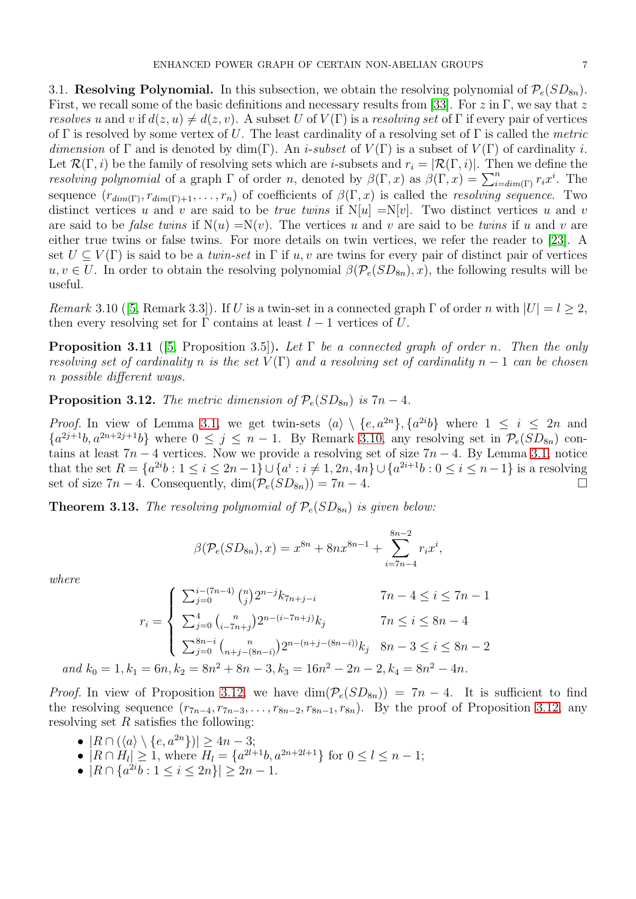3.1. **Resolving Polynomial.** In this subsection, we obtain the resolving polynomial of  $\mathcal{P}_e(SD_{8n})$ . First, we recall some of the basic definitions and necessary results from [\[33\]](#page-14-6). For z in Γ, we say that z resolves u and v if  $d(z, u) \neq d(z, v)$ . A subset U of  $V(\Gamma)$  is a resolving set of  $\Gamma$  if every pair of vertices of Γ is resolved by some vertex of U. The least cardinality of a resolving set of Γ is called the metric dimension of Γ and is denoted by dim(Γ). An *i-subset* of  $V(\Gamma)$  is a subset of  $V(\Gamma)$  of cardinality *i*. Let  $\mathcal{R}(\Gamma, i)$  be the family of resolving sets which are *i*-subsets and  $r_i = |\mathcal{R}(\Gamma, i)|$ . Then we define the resolving polynomial of a graph  $\Gamma$  of order n, denoted by  $\beta(\Gamma, x)$  as  $\beta(\Gamma, x) = \sum_{i=dim(\Gamma)}^n r_i x^i$ . The sequence  $(r_{dim(\Gamma)}, r_{dim(\Gamma)+1}, \ldots, r_n)$  of coefficients of  $\beta(\Gamma, x)$  is called the *resolving sequence*. Two distinct vertices u and v are said to be true twins if  $N[u] = N[v]$ . Two distinct vertices u and v are said to be *false twins* if  $N(u) = N(v)$ . The vertices u and v are said to be *twins* if u and v are either true twins or false twins. For more details on twin vertices, we refer the reader to [\[23\]](#page-13-23). A set  $U \subseteq V(\Gamma)$  is said to be a *twin-set* in  $\Gamma$  if u, v are twins for every pair of distinct pair of vertices  $u, v \in U$ . In order to obtain the resolving polynomial  $\beta(\mathcal{P}_e(SD_{8n}), x)$ , the following results will be useful.

<span id="page-6-0"></span>Remark3.10 ([\[5,](#page-13-13) Remark 3.3]). If U is a twin-set in a connected graph  $\Gamma$  of order n with  $|U| = l \geq 2$ , then every resolving set for  $\Gamma$  contains at least  $l-1$  vertices of U.

<span id="page-6-2"></span>**Proposition 3.11** ([\[5,](#page-13-13) Proposition 3.5]). Let  $\Gamma$  be a connected graph of order n. Then the only resolving set of cardinality n is the set  $V(\Gamma)$  and a resolving set of cardinality  $n-1$  can be chosen n possible different ways.

<span id="page-6-1"></span>**Proposition 3.12.** The metric dimension of  $\mathcal{P}_e(SD_{8n})$  is  $7n-4$ .

*Proof.* In view of Lemma [3.1,](#page-3-1) we get twin-sets  $\langle a \rangle \setminus \{e, a^{2n}\}, \{a^{2i}b\}$  where  $1 \leq i \leq 2n$  and  ${a^{2j+1}b, a^{2n+2j+1}b}$  where  $0 \leq j \leq n-1$ . By Remark [3.10,](#page-6-0) any resolving set in  $\mathcal{P}_e(SD_{8n})$  contains at least  $7n - 4$  vertices. Now we provide a resolving set of size  $7n - 4$ . By Lemma [3.1,](#page-3-1) notice that the set  $R = \{a^{2i}b : 1 \le i \le 2n-1\} \cup \{a^i : i \ne 1, 2n, 4n\} \cup \{a^{2i+1}b : 0 \le i \le n-1\}$  is a resolving set of size  $7n - 4$ . Consequently,  $\dim(\mathcal{P}_e(SD_{8n})) = 7n - 4$ .

**Theorem 3.13.** The resolving polynomial of  $\mathcal{P}_e(SD_{8n})$  is given below:

$$
\beta(\mathcal{P}_e(SD_{8n}), x) = x^{8n} + 8nx^{8n-1} + \sum_{i=7n-4}^{8n-2} r_i x^i,
$$

where

$$
r_i = \begin{cases} \sum_{j=0}^{i-(7n-4)} \binom{n}{j} 2^{n-j} k_{7n+j-i} & 7n-4 \le i \le 7n-1\\ \sum_{j=0}^{4} \binom{n}{i-7n+j} 2^{n-(i-7n+j)} k_j & 7n \le i \le 8n-4\\ \sum_{j=0}^{8n-i} \binom{n}{n+j-(8n-i)} 2^{n-(n+j-(8n-i))} k_j & 8n-3 \le i \le 8n-2\\ \text{and } k_0 = 1, k_1 = 6n, k_2 = 8n^2 + 8n - 3, k_3 = 16n^2 - 2n - 2, k_4 = 8n^2 - 4n. \end{cases}
$$

*Proof.* In view of Proposition [3.12,](#page-6-1) we have  $\dim(\mathcal{P}_e(SD_{8n})) = 7n - 4$ . It is sufficient to find the resolving sequence  $(r_{7n-4}, r_{7n-3}, \ldots, r_{8n-2}, r_{8n-1}, r_{8n})$ . By the proof of Proposition [3.12,](#page-6-1) any resolving set  $R$  satisfies the following:

- $|R \cap (\langle a \rangle \setminus \{e, a^{2n}\})| \geq 4n 3;$
- $|R \cap H_l| \geq 1$ , where  $H_l = \{a^{2l+1}b, a^{2n+2l+1}\}\$  for  $0 \leq l \leq n-1$ ;
- $|R \cap \{a^{2i}b : 1 \leq i \leq 2n\}| \geq 2n 1.$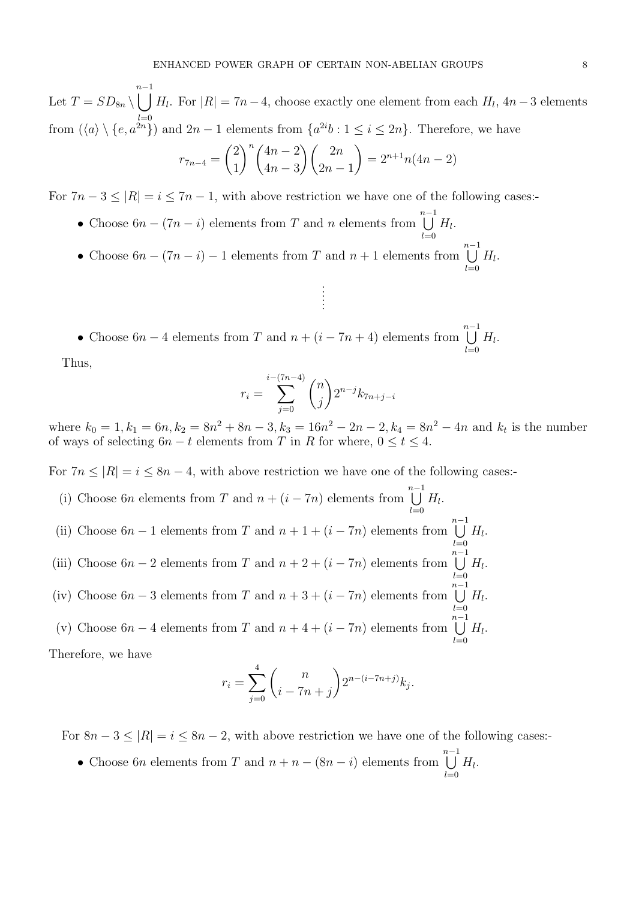Let  $T = SD_{8n} \setminus$  $n-1$ <br>  $\bigcup H_l$ . For  $|R| = 7n-4$ , choose exactly one element from each  $H_l$ , 4n − 3 elements from  $(\langle a \rangle \setminus \{e, a^{2n}\})$  and  $2n-1$  elements from  $\{a^{2i}b : 1 \le i \le 2n\}$ . Therefore, we have

$$
r_{7n-4} = {2 \choose 1}^n {4n-2 \choose 4n-3} {2n \choose 2n-1} = 2^{n+1}n(4n-2)
$$

For  $7n - 3 \leq |R| = i \leq 7n - 1$ , with above restriction we have one of the following cases:-

- Choose  $6n (7n i)$  elements from T and n elements from  $\bigcup^{n-1}$  $_{l=0}$  $H_l$ .
- Choose  $6n (7n i) 1$  elements from T and  $n + 1$  elements from  $\bigcup^{n-1}$  $_{l=0}$  $H_l$ .

• Choose  $6n - 4$  elements from T and  $n + (i - 7n + 4)$  elements from  $\bigcup^{n-1}$  $_{l=0}$  $H_l$ .

Thus,

$$
r_i = \sum_{j=0}^{i-(7n-4)} \binom{n}{j} 2^{n-j} k_{7n+j-i}
$$

. . . . . .

where  $k_0 = 1, k_1 = 6n, k_2 = 8n^2 + 8n - 3, k_3 = 16n^2 - 2n - 2, k_4 = 8n^2 - 4n$  and  $k_t$  is the number of ways of selecting  $6n - t$  elements from T in R for where,  $0 \le t \le 4$ .

 $_{l=0}$ 

 $_{l=0}$ 

For  $7n \leq |R| = i \leq 8n - 4$ , with above restriction we have one of the following cases:-

- (i) Choose 6n elements from T and  $n + (i 7n)$  elements from  $\bigcup^{n-1}$  $H_l$ .
- (ii) Choose  $6n 1$  elements from T and  $n + 1 + (i 7n)$  elements from  $\bigcup_{l=1}^{n-1} H_l$ .  $l=0$ (iii) Choose  $6n - 2$  elements from T and  $n + 2 + (i - 7n)$  elements from  $\bigcup_{n=1}^{n-1} H_i$ .
- $l=0$ (iv) Choose  $6n-3$  elements from T and  $n+3+(i-7n)$  elements from  $\bigcup^{n-1}$  $H_l$ .
- (v) Choose  $6n 4$  elements from T and  $n + 4 + (i 7n)$  elements from  $\bigcup^{n-1}$  $_{l=0}$  $H_l$ .

Therefore, we have

$$
r_i = \sum_{j=0}^{4} {n \choose i-7n+j} 2^{n-(i-7n+j)} k_j.
$$

For  $8n - 3 \leq |R| = i \leq 8n - 2$ , with above restriction we have one of the following cases:-

• Choose 6n elements from T and  $n + n - (8n - i)$  elements from  $\bigcup^{n-1}$  $_{l=0}$  $H_l$ .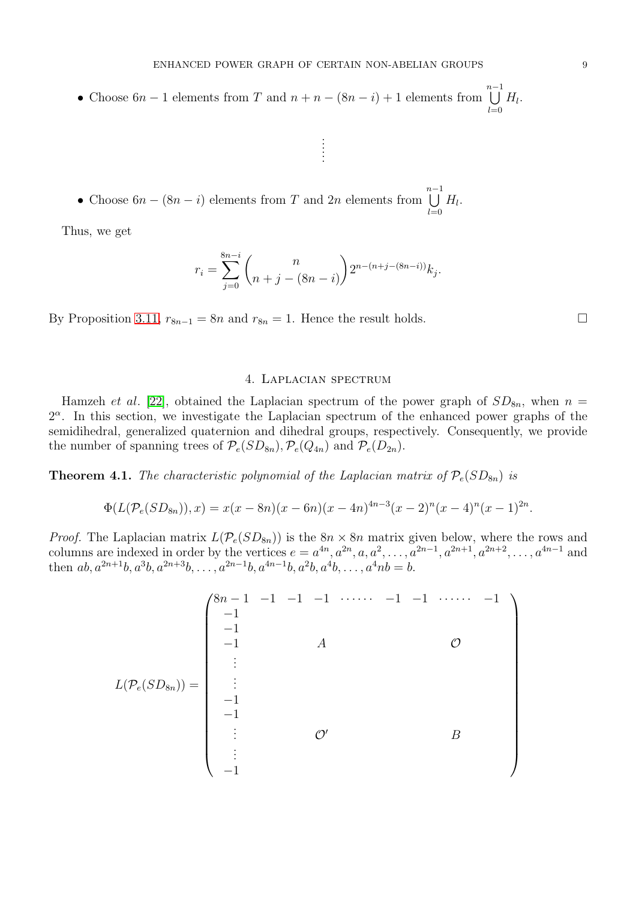. . . . . .

• Choose  $6n - 1$  elements from T and  $n + n - (8n - i) + 1$  elements from  $\bigcup^{n-1}$  $_{l=0}$  $H_l$ .

• Choose  $6n - (8n - i)$  elements from T and  $2n$  elements from  $\bigcup^{n-1}$  $_{l=0}$  $H_l$ .

Thus, we get

$$
r_i = \sum_{j=0}^{8n-i} \binom{n}{n+j-(8n-i)} 2^{n-(n+j-(8n-i))} k_j.
$$

By Proposition [3.11,](#page-6-2)  $r_{8n-1} = 8n$  and  $r_{8n} = 1$ . Hence the result holds.

# 4. Laplacian spectrum

Hamzeh et al. [\[22\]](#page-13-24), obtained the Laplacian spectrum of the power graph of  $SD_{8n}$ , when  $n =$  $2^{\alpha}$ . In this section, we investigate the Laplacian spectrum of the enhanced power graphs of the semidihedral, generalized quaternion and dihedral groups, respectively. Consequently, we provide the number of spanning trees of  $\mathcal{P}_e(SD_{8n}), \mathcal{P}_e(Q_{4n})$  and  $\mathcal{P}_e(D_{2n}).$ 

<span id="page-8-0"></span>**Theorem 4.1.** The characteristic polynomial of the Laplacian matrix of  $\mathcal{P}_e(SD_{8n})$  is

$$
\Phi(L(\mathcal{P}_e(SD_{8n})), x) = x(x - 8n)(x - 6n)(x - 4n)^{4n-3}(x - 2)^n(x - 4)^n(x - 1)^{2n}.
$$

*Proof.* The Laplacian matrix  $L(\mathcal{P}_e(SD_{8n}))$  is the  $8n \times 8n$  matrix given below, where the rows and columns are indexed in order by the vertices  $e = a^{4n}, a^{2n}, a, a^2, \ldots, a^{2n-1}, a^{2n+1}, a^{2n+2}, \ldots, a^{4n-1}$  and then  $ab, a^{2n+1}b, a^3b, a^{2n+3}b, \ldots, a^{2n-1}b, a^{4n-1}b, a^2b, a^4b, \ldots, a^4nb = b.$ 

$$
L(\mathcal{P}_e(SD_{8n})) = \begin{pmatrix} 8n-1 & -1 & -1 & -1 & \cdots & -1 & -1 & \cdots & -1 \\ -1 & & & & & & & \\ -1 & & & & & & & \\ \vdots & & & & & & & \\ -1 & & & & & & & \\ -1 & & & & & & & \\ \vdots & & & & & & & \\ -1 & & & & & & & \\ \vdots & & & & & & & \\ -1 & & & & & & & \end{pmatrix}
$$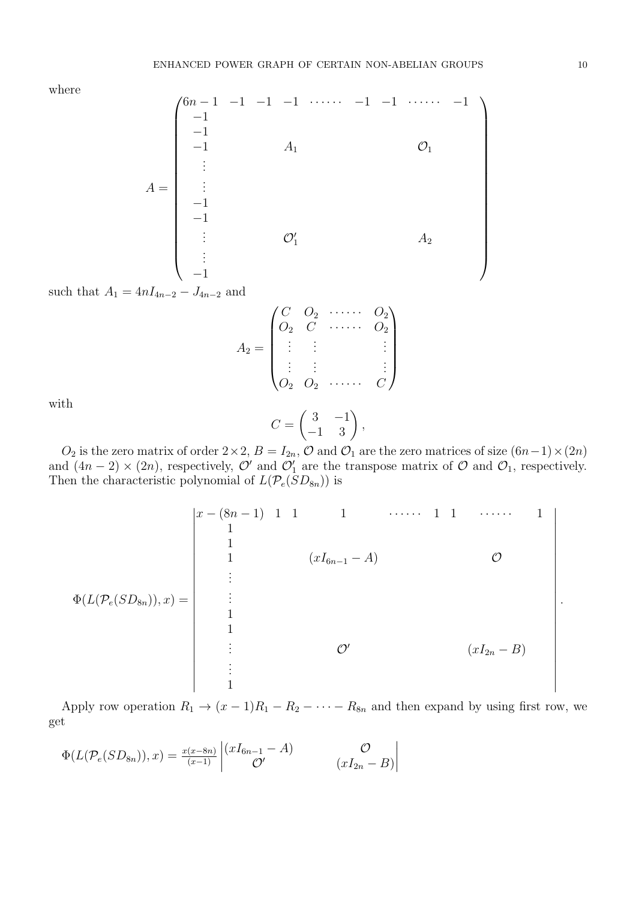where

$$
A = \begin{pmatrix} 6n-1 & -1 & -1 & -1 & \cdots & -1 & -1 & \cdots & -1 \\ -1 & & & & & & & \\ -1 & & & & & & & \\ -1 & & & & & & & \\ \vdots & & & & & & \\ -1 & & & & & & \\ -1 & & & & & & \\ \vdots & & & & & & \\ -1 & & & & & & \\ \vdots & & & & & & \\ -1 & & & & & & \end{pmatrix}
$$

such that  $A_1 = 4nI_{4n-2} - J_{4n-2}$  and

$$
A_2 = \begin{pmatrix} C & O_2 & \cdots & O_2 \\ O_2 & C & \cdots & O_2 \\ \vdots & \vdots & & \vdots \\ O_2 & O_2 & \cdots & C \end{pmatrix}
$$

with

$$
C = \begin{pmatrix} 3 & -1 \\ -1 & 3 \end{pmatrix},
$$

 $O_2$  is the zero matrix of order  $2 \times 2$ ,  $B = I_{2n}$ ,  $\mathcal O$  and  $\mathcal O_1$  are the zero matrices of size  $(6n-1) \times (2n)$ and  $(4n-2) \times (2n)$ , respectively,  $\mathcal{O}'$  and  $\mathcal{O}'_1$  are the transpose matrix of  $\mathcal{O}$  and  $\mathcal{O}_1$ , respectively. Then the characteristic polynomial of  $L(\mathcal{P}_e(SD_{8n}))$  is



Apply row operation  $R_1 \rightarrow (x-1)R_1 - R_2 - \cdots - R_{8n}$  and then expand by using first row, we get

$$
\Phi(L(\mathcal{P}_e(SD_{8n})), x) = \frac{x(x-8n)}{(x-1)} \begin{vmatrix} (xI_{6n-1} - A) & \mathcal{O} \\ \mathcal{O}' & (xI_{2n} - B) \end{vmatrix}
$$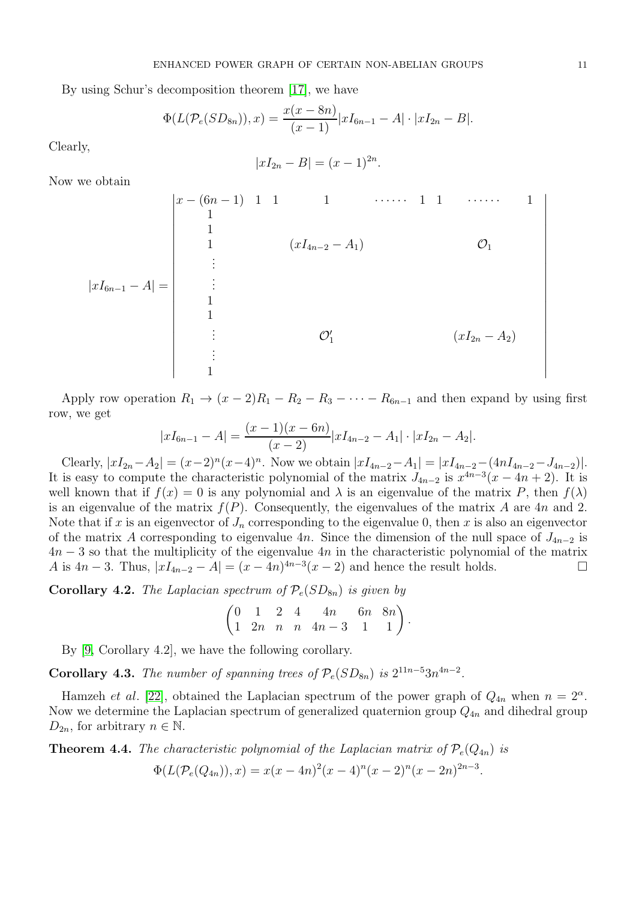By using Schur's decomposition theorem [\[17\]](#page-13-25), we have

$$
\Phi(L(\mathcal{P}_e(SD_{8n})), x) = \frac{x(x - 8n)}{(x - 1)} |xI_{6n-1} - A| \cdot |xI_{2n} - B|.
$$

Clearly,

$$
|xI_{2n} - B| = (x - 1)^{2n}
$$

.

Now we obtain

|xI6n−<sup>1</sup> − A| = x − (6n − 1) 1 1 1 · · · · · · 1 1 · · · · · · 1 1 1 1 (xI4n−<sup>2</sup> − A1) O<sup>1</sup> . . . . . . 1 1 . . . O′ 1 (xI2<sup>n</sup> − A2) . . . 1 

Apply row operation  $R_1 \rightarrow (x-2)R_1 - R_2 - R_3 - \cdots - R_{6n-1}$  and then expand by using first row, we get

$$
|xI_{6n-1} - A| = \frac{(x-1)(x-6n)}{(x-2)} |xI_{4n-2} - A_1| \cdot |xI_{2n} - A_2|.
$$

Clearly,  $|xI_{2n}-A_2|=(x-2)^n(x-4)^n$ . Now we obtain  $|xI_{4n-2}-A_1|=|xI_{4n-2}-(4nI_{4n-2}-J_{4n-2})|$ . It is easy to compute the characteristic polynomial of the matrix  $J_{4n-2}$  is  $x^{4n-3}(x-4n+2)$ . It is well known that if  $f(x) = 0$  is any polynomial and  $\lambda$  is an eigenvalue of the matrix P, then  $f(\lambda)$ is an eigenvalue of the matrix  $f(P)$ . Consequently, the eigenvalues of the matrix A are 4n and 2. Note that if x is an eigenvector of  $J_n$  corresponding to the eigenvalue 0, then x is also an eigenvector of the matrix A corresponding to eigenvalue 4n. Since the dimension of the null space of  $J_{4n-2}$  is  $4n-3$  so that the multiplicity of the eigenvalue  $4n$  in the characteristic polynomial of the matrix A is  $4n-3$ . Thus,  $|xI_{4n-2}-A| = (x-4n)^{4n-3}(x-2)$  and hence the result holds.

**Corollary 4.2.** The Laplacian spectrum of  $\mathcal{P}_e(SD_{8n})$  is given by

$$
\begin{pmatrix} 0 & 1 & 2 & 4 & 4n & 6n & 8n \\ 1 & 2n & n & n & 4n-3 & 1 & 1 \end{pmatrix}.
$$

By [\[9,](#page-13-26) Corollary 4.2], we have the following corollary.

Corollary 4.3. The number of spanning trees of  $\mathcal{P}_e(SD_{8n})$  is  $2^{11n-5}3n^{4n-2}$ .

Hamzeh et al. [\[22\]](#page-13-24), obtained the Laplacian spectrum of the power graph of  $Q_{4n}$  when  $n = 2^{\alpha}$ . Now we determine the Laplacian spectrum of generalized quaternion group  $Q_{4n}$  and dihedral group  $D_{2n}$ , for arbitrary  $n \in \mathbb{N}$ .

**Theorem 4.4.** The characteristic polynomial of the Laplacian matrix of  $\mathcal{P}_e(Q_{4n})$  is

$$
\Phi(L(\mathcal{P}_e(Q_{4n})), x) = x(x - 4n)^2(x - 4)^n(x - 2)^n(x - 2n)^{2n - 3}
$$

.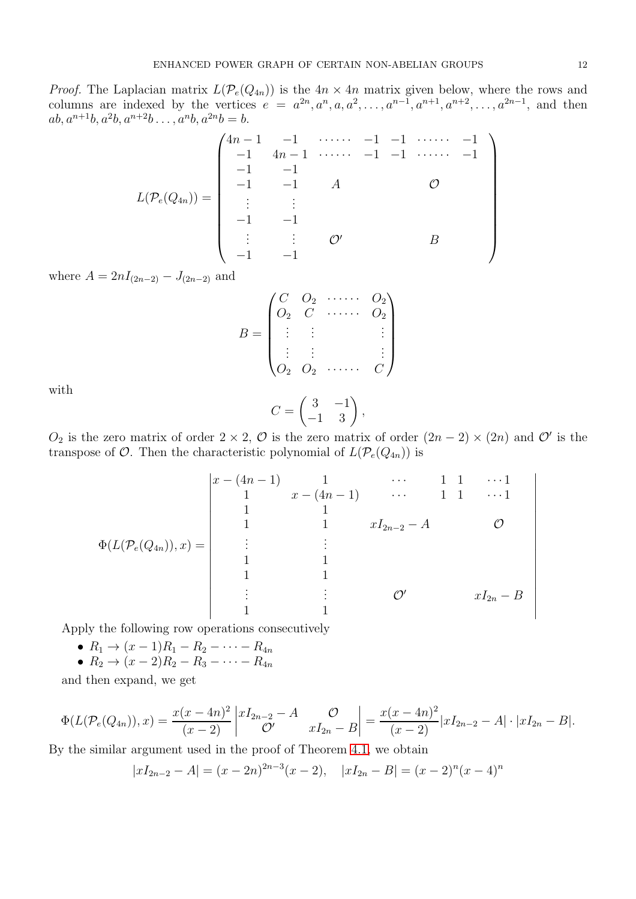*Proof.* The Laplacian matrix  $L(\mathcal{P}_e(Q_{4n}))$  is the  $4n \times 4n$  matrix given below, where the rows and columns are indexed by the vertices  $e = a^{2n}, a^n, a, a^2, \ldots, a^{n-1}, a^{n+1}, a^{n+2}, \ldots, a^{2n-1}$ , and then  $ab, a^{n+1}b, a^2b, a^{n+2}b \ldots, a^nb, a^{2n}b = b.$ 

$$
L(\mathcal{P}_e(Q_{4n})) = \begin{pmatrix} 4n-1 & -1 & \cdots & -1 & -1 & \cdots & -1 & -1 \\ -1 & 4n-1 & \cdots & -1 & -1 & \cdots & -1 & -1 \\ -1 & -1 & -1 & A & & & & & & \\ \vdots & \vdots & \vdots & & & & & & \\ -1 & -1 & -1 & & & & & & \\ -1 & -1 & -1 & & & & & & \end{pmatrix}
$$

where  $A = 2nI_{(2n-2)} - J_{(2n-2)}$  and

$$
B = \begin{pmatrix} C & O_2 & \cdots & O_2 \\ O_2 & C & \cdots & O_2 \\ \vdots & \vdots & & \vdots \\ O_2 & O_2 & \cdots & & C \end{pmatrix}
$$

with

$$
C = \begin{pmatrix} 3 & -1 \\ -1 & 3 \end{pmatrix},
$$

 $O_2$  is the zero matrix of order  $2 \times 2$ ,  $\mathcal O$  is the zero matrix of order  $(2n-2) \times (2n)$  and  $\mathcal O'$  is the transpose of  $\mathcal{O}$ . Then the characteristic polynomial of  $L(\mathcal{P}_e(Q_{4n}))$  is

$$
\Phi(L(\mathcal{P}_e(Q_{4n})), x) = \begin{vmatrix} x - (4n - 1) & 1 & \cdots & 1 & 1 & \cdots 1 \\ 1 & x - (4n - 1) & \cdots & 1 & 1 & \cdots 1 \\ 1 & 1 & 1 & & xI_{2n-2} - A & 0 \\ \vdots & \vdots & \vdots & & \vdots & & \vdots \\ 1 & 1 & 1 & & & \\ 1 & 1 & 1 & & & \\ \vdots & \vdots & \vdots & & \mathcal{O}' & xI_{2n} - B \end{vmatrix}
$$

Apply the following row operations consecutively

$$
\bullet \ R_1 \rightarrow (x-1)R_1 - R_2 - \cdots - R_{4n}
$$

$$
\bullet \ R_2 \rightarrow (x-2)R_2 - R_3 - \cdots - R_{4n}
$$

and then expand, we get

$$
\Phi(L(\mathcal{P}_e(Q_{4n})), x) = \frac{x(x-4n)^2}{(x-2)} \begin{vmatrix} xI_{2n-2} - A & \mathcal{O} \\ \mathcal{O}' & xI_{2n} - B \end{vmatrix} = \frac{x(x-4n)^2}{(x-2)} |xI_{2n-2} - A| \cdot |xI_{2n} - B|.
$$

By the similar argument used in the proof of Theorem [4.1,](#page-8-0) we obtain

$$
|xI_{2n-2} - A| = (x - 2n)^{2n-3}(x - 2), \quad |xI_{2n} - B| = (x - 2)^n(x - 4)^n
$$

 $\bigg\}$  $\overline{\phantom{a}}$  $\overline{\phantom{a}}$  $\overline{\phantom{a}}$  $\overline{\phantom{a}}$  $\overline{\phantom{a}}$  $\overline{\phantom{a}}$  $\overline{\phantom{a}}$  $\overline{\phantom{a}}$  $\overline{\phantom{a}}$  $\overline{\phantom{a}}$  $\overline{\phantom{a}}$  $\overline{\phantom{a}}$  $\overline{\phantom{a}}$  $\overline{\phantom{a}}$  $\overline{\phantom{a}}$  $\overline{\phantom{a}}$  $\overline{\phantom{a}}$  $\begin{array}{c} \hline \end{array}$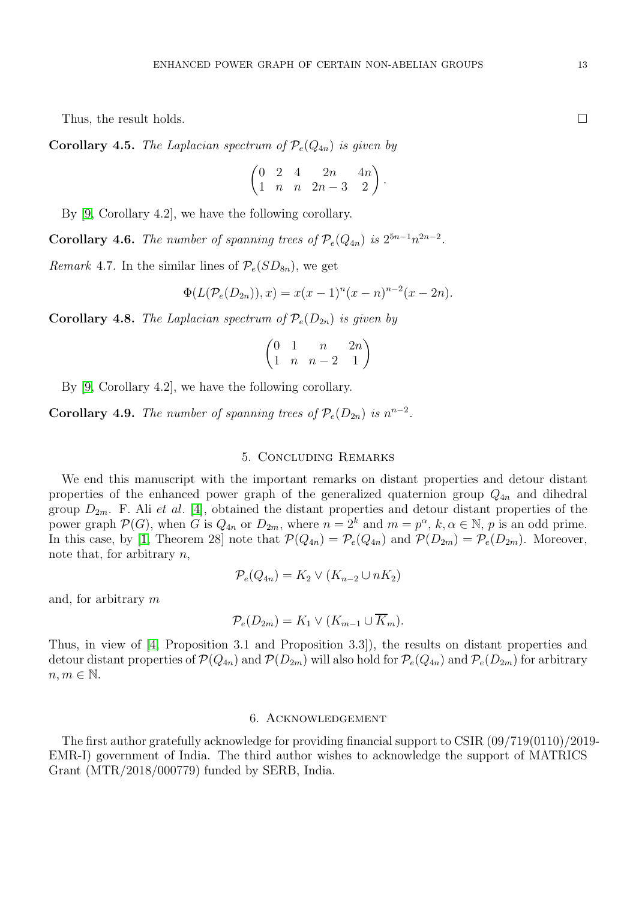Thus, the result holds.  $\square$ 

**Corollary 4.5.** The Laplacian spectrum of  $\mathcal{P}_e(Q_{4n})$  is given by

$$
\begin{pmatrix} 0 & 2 & 4 & 2n & 4n \\ 1 & n & n & 2n - 3 & 2 \end{pmatrix}
$$

.

By [\[9,](#page-13-26) Corollary 4.2], we have the following corollary.

**Corollary 4.6.** The number of spanning trees of  $\mathcal{P}_e(Q_{4n})$  is  $2^{5n-1}n^{2n-2}$ .

Remark 4.7. In the similar lines of  $P_e(SD_{8n})$ , we get

$$
\Phi(L(\mathcal{P}_e(D_{2n})), x) = x(x-1)^n(x-n)^{n-2}(x-2n).
$$

**Corollary 4.8.** The Laplacian spectrum of  $\mathcal{P}_e(D_{2n})$  is given by

$$
\begin{pmatrix}\n0 & 1 & n & 2n \\
1 & n & n-2 & 1\n\end{pmatrix}
$$

By [\[9,](#page-13-26) Corollary 4.2], we have the following corollary.

**Corollary 4.9.** The number of spanning trees of  $\mathcal{P}_e(D_{2n})$  is  $n^{n-2}$ .

## 5. Concluding Remarks

We end this manuscript with the important remarks on distant properties and detour distant properties of the enhanced power graph of the generalized quaternion group  $Q_{4n}$  and dihedral group  $D_{2m}$ . F. Ali et al. [\[4\]](#page-13-27), obtained the distant properties and detour distant properties of the power graph  $\mathcal{P}(G)$ , when G is  $Q_{4n}$  or  $D_{2m}$ , where  $n = 2^k$  and  $m = p^{\alpha}, k, \alpha \in \mathbb{N}$ , p is an odd prime. In this case, by [\[1,](#page-13-17) Theorem 28] note that  $\mathcal{P}(Q_{4n}) = \mathcal{P}_e(Q_{4n})$  and  $\mathcal{P}(D_{2m}) = \mathcal{P}_e(D_{2m})$ . Moreover, note that, for arbitrary  $n$ ,

$$
\mathcal{P}_e(Q_{4n}) = K_2 \vee (K_{n-2} \cup nK_2)
$$

and, for arbitrary m

$$
\mathcal{P}_e(D_{2m}) = K_1 \vee (K_{m-1} \cup K_m).
$$

Thus, in view of [\[4,](#page-13-27) Proposition 3.1 and Proposition 3.3]), the results on distant properties and detour distant properties of  $\mathcal{P}(Q_{4n})$  and  $\mathcal{P}(D_{2m})$  will also hold for  $\mathcal{P}_e(Q_{4n})$  and  $\mathcal{P}_e(D_{2m})$  for arbitrary  $n, m \in \mathbb{N}$ .

# 6. Acknowledgement

The first author gratefully acknowledge for providing financial support to CSIR (09/719(0110)/2019- EMR-I) government of India. The third author wishes to acknowledge the support of MATRICS Grant (MTR/2018/000779) funded by SERB, India.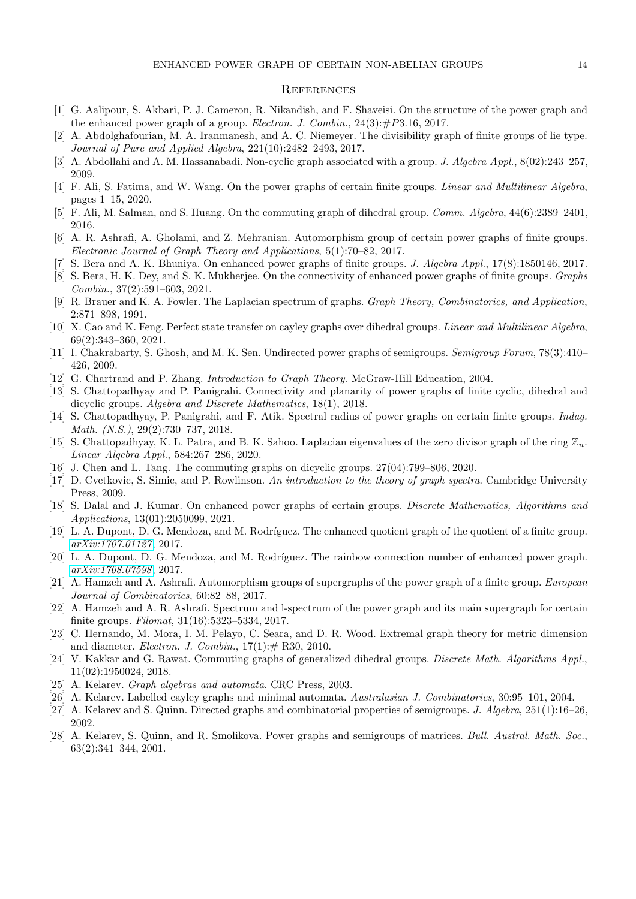### **REFERENCES**

- <span id="page-13-17"></span>[1] G. Aalipour, S. Akbari, P. J. Cameron, R. Nikandish, and F. Shaveisi. On the structure of the power graph and the enhanced power graph of a group. *Electron. J. Combin.*,  $24(3):\#P3.16, 2017$ .
- <span id="page-13-3"></span>[2] A. Abdolghafourian, M. A. Iranmanesh, and A. C. Niemeyer. The divisibility graph of finite groups of lie type. *Journal of Pure and Applied Algebra*, 221(10):2482–2493, 2017.
- <span id="page-13-27"></span><span id="page-13-2"></span>[3] A. Abdollahi and A. M. Hassanabadi. Non-cyclic graph associated with a group. *J. Algebra Appl.*, 8(02):243–257, 2009.
- <span id="page-13-13"></span>[4] F. Ali, S. Fatima, and W. Wang. On the power graphs of certain finite groups. *Linear and Multilinear Algebra*, pages 1–15, 2020.
- <span id="page-13-6"></span>[5] F. Ali, M. Salman, and S. Huang. On the commuting graph of dihedral group. *Comm. Algebra*, 44(6):2389–2401, 2016.
- <span id="page-13-1"></span>[6] A. R. Ashrafi, A. Gholami, and Z. Mehranian. Automorphism group of certain power graphs of finite groups. *Electronic Journal of Graph Theory and Applications*, 5(1):70–82, 2017.
- <span id="page-13-21"></span>[7] S. Bera and A. K. Bhuniya. On enhanced power graphs of finite groups. *J. Algebra Appl.*, 17(8):1850146, 2017.
- [8] S. Bera, H. K. Dey, and S. K. Mukherjee. On the connectivity of enhanced power graphs of finite groups. *Graphs Combin.*, 37(2):591–603, 2021.
- <span id="page-13-26"></span>[9] R. Brauer and K. A. Fowler. The Laplacian spectrum of graphs. *Graph Theory, Combinatorics, and Application*, 2:871–898, 1991.
- <span id="page-13-14"></span>[10] X. Cao and K. Feng. Perfect state transfer on cayley graphs over dihedral groups. *Linear and Multilinear Algebra*, 69(2):343–360, 2021.
- <span id="page-13-0"></span>[11] I. Chakrabarty, S. Ghosh, and M. K. Sen. Undirected power graphs of semigroups. *Semigroup Forum*, 78(3):410– 426, 2009.
- <span id="page-13-22"></span><span id="page-13-7"></span>[12] G. Chartrand and P. Zhang. *Introduction to Graph Theory*. McGraw-Hill Education, 2004.
- [13] S. Chattopadhyay and P. Panigrahi. Connectivity and planarity of power graphs of finite cyclic, dihedral and dicyclic groups. *Algebra and Discrete Mathematics*, 18(1), 2018.
- <span id="page-13-8"></span>[14] S. Chattopadhyay, P. Panigrahi, and F. Atik. Spectral radius of power graphs on certain finite groups. *Indag. Math. (N.S.)*, 29(2):730–737, 2018.
- <span id="page-13-9"></span>[15] S. Chattopadhyay, K. L. Patra, and B. K. Sahoo. Laplacian eigenvalues of the zero divisor graph of the ring  $\mathbb{Z}_n$ . *Linear Algebra Appl.*, 584:267–286, 2020.
- <span id="page-13-25"></span><span id="page-13-12"></span>[16] J. Chen and L. Tang. The commuting graphs on dicyclic groups. 27(04):799–806, 2020.
- [17] D. Cvetkovic, S. Simic, and P. Rowlinson. *An introduction to the theory of graph spectra*. Cambridge University Press, 2009.
- <span id="page-13-20"></span>[18] S. Dalal and J. Kumar. On enhanced power graphs of certain groups. *Discrete Mathematics, Algorithms and Applications*, 13(01):2050099, 2021.
- <span id="page-13-19"></span>[19] L. A. Dupont, D. G. Mendoza, and M. Rodríguez. The enhanced quotient graph of the quotient of a finite group. *[arXiv:1707.01127](http://arxiv.org/abs/1707.01127)*, 2017.
- <span id="page-13-18"></span>[20] L. A. Dupont, D. G. Mendoza, and M. Rodríguez. The rainbow connection number of enhanced power graph. *[arXiv:1708.07598](http://arxiv.org/abs/1708.07598)*, 2017.
- <span id="page-13-10"></span>[21] A. Hamzeh and A. Ashrafi. Automorphism groups of supergraphs of the power graph of a finite group. *European Journal of Combinatorics*, 60:82–88, 2017.
- <span id="page-13-24"></span>[22] A. Hamzeh and A. R. Ashrafi. Spectrum and l-spectrum of the power graph and its main supergraph for certain finite groups. *Filomat*, 31(16):5323–5334, 2017.
- <span id="page-13-23"></span>[23] C. Hernando, M. Mora, I. M. Pelayo, C. Seara, and D. R. Wood. Extremal graph theory for metric dimension and diameter. *Electron. J. Combin.*,  $17(1):# R30, 2010$ .
- <span id="page-13-11"></span>[24] V. Kakkar and G. Rawat. Commuting graphs of generalized dihedral groups. *Discrete Math. Algorithms Appl.*, 11(02):1950024, 2018.
- <span id="page-13-5"></span><span id="page-13-4"></span>[25] A. Kelarev. *Graph algebras and automata*. CRC Press, 2003.
- <span id="page-13-15"></span>[26] A. Kelarev. Labelled cayley graphs and minimal automata. *Australasian J. Combinatorics*, 30:95–101, 2004.
- <span id="page-13-16"></span>[27] A. Kelarev and S. Quinn. Directed graphs and combinatorial properties of semigroups. *J. Algebra*, 251(1):16–26, 2002.
- [28] A. Kelarev, S. Quinn, and R. Smolikova. Power graphs and semigroups of matrices. *Bull. Austral. Math. Soc.*, 63(2):341–344, 2001.